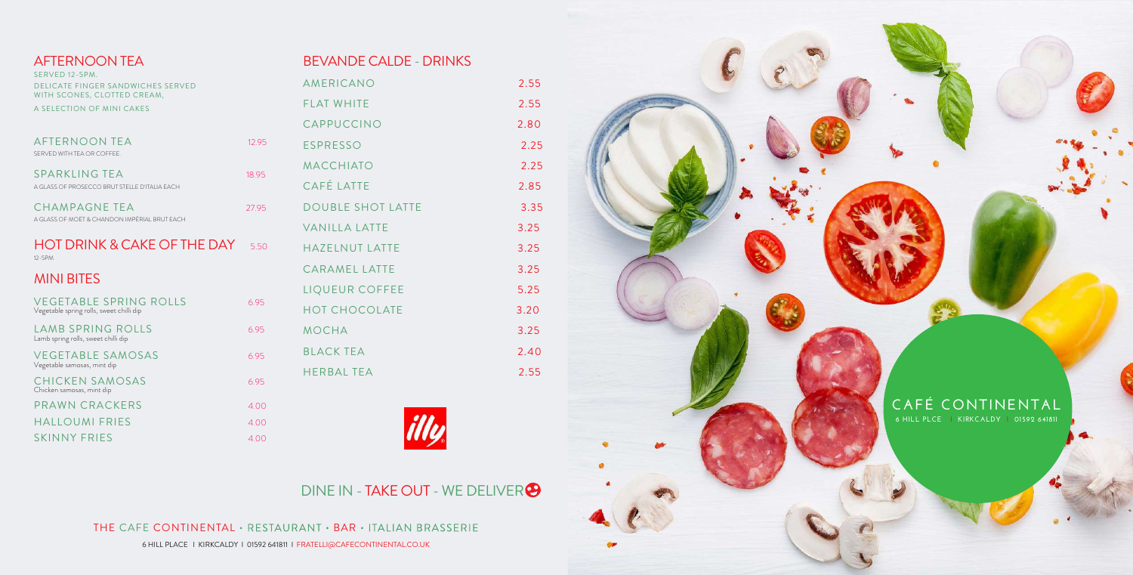6 HILL PLACE I KIRKCALDY I 01592 641811 I FRATELLI@CAFECONTINENTAL.CO.UK







# DINE IN - TAKE OUT - WE DELIVER<sup>9</sup>

THE CAFE CONTINENTAL · RESTAURANT · BAR · ITALIAN BRASSERIE

| <b>AFTERNOON TEA</b><br>SERVED 12-5PM.<br><b>DELICATE FINGER SANDWICHES SERVED</b><br>WITH SCONES, CLOTTED CREAM,<br>A SELECTION OF MINI CAKES |       |
|------------------------------------------------------------------------------------------------------------------------------------------------|-------|
| <b>AFTERNOON TEA</b><br>SERVED WITH TEA OR COFFEE.                                                                                             | 12.95 |
| <b>SPARKLING TEA</b><br>A GLASS OF PROSECCO BRUT STELLE D'ITALIA EACH                                                                          | 18.95 |
| CHAMPAGNE TEA<br>A GLASS OF MOËT & CHANDON IMPÉRIAL BRUT FACH                                                                                  | 27.95 |
| <b>HOT DRINK &amp; CAKE OF THE DAY</b><br>12-5PM                                                                                               | 550   |
| <b>MINI BITES</b>                                                                                                                              |       |
| <b>VEGETABLE SPRING ROLLS</b><br>Vegetable spring rolls, sweet chilli dip                                                                      | 6.95  |
| <b>LAMB SPRING ROLLS</b><br>Lamb spring rolls, sweet chilli dip                                                                                | 6.95  |
| <b>VEGETABLE SAMOSAS</b><br>Vegetable samosas, mint dip                                                                                        | 6.95  |
|                                                                                                                                                |       |
| <b>CHICKEN SAMOSAS</b><br>Chicken samosas, mint dip                                                                                            | 6.95  |
| PRAWN CRACKERS                                                                                                                                 | 4.00  |
| <b>HALLOUMI FRIES</b>                                                                                                                          | 4.00  |

#### **CAFÉ CONTINENTAL 6 HILL PLCE I KIRKCALDY I 01592 641811**